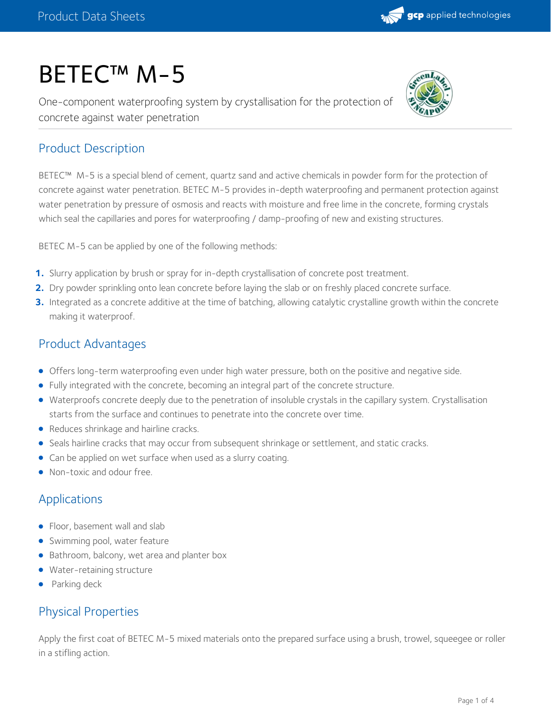# BETEC™ M-5

One-component waterproofing system by crystallisation for the protection of concrete against water penetration



## Product Description

BETEC™ M-5 is a special blend of cement, quartz sand and active chemicals in powder form for the protection of concrete against water penetration. BETEC M-5 provides in-depth waterproofing and permanent protection against water penetration by pressure of osmosis and reacts with moisture and free lime in the concrete, forming crystals which seal the capillaries and pores for waterproofing / damp-proofing of new and existing structures.

BETEC M-5 can be applied by one of the following methods:

- **1.** Slurry application by brush or spray for in-depth crystallisation of concrete post treatment.
- **2.** Dry powder sprinkling onto lean concrete before laying the slab or on freshly placed concrete surface.
- Integrated as a concrete additive at the time of batching, allowing catalytic crystalline growth within the concrete making it waterproof. **3.**

## Product Advantages

- Offers long-term waterproofing even under high water pressure, both on the positive and negative side.
- Fully integrated with the concrete, becoming an integral part of the concrete structure.
- Waterproofs concrete deeply due to the penetration of insoluble crystals in the capillary system. Crystallisation starts from the surface and continues to penetrate into the concrete over time.
- Reduces shrinkage and hairline cracks.
- **Seals hairline cracks that may occur from subsequent shrinkage or settlement, and static cracks.**
- Can be applied on wet surface when used as a slurry coating.
- Non-toxic and odour free.

## Applications

- Floor, basement wall and slab
- **Swimming pool, water feature**
- Bathroom, balcony, wet area and planter box
- Water-retaining structure
- Parking deck

## Physical Properties

Apply the first coat of BETEC M-5 mixed materials onto the prepared surface using a brush, trowel, squeegee or roller in a stifling action.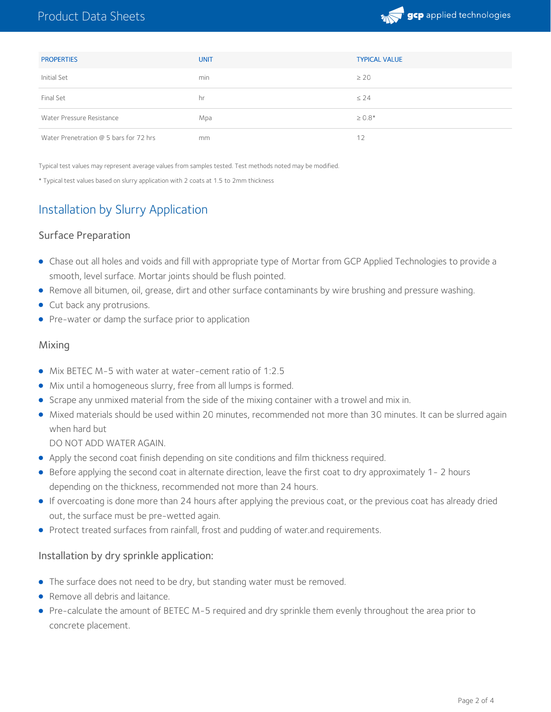

| <b>PROPERTIES</b>                      | <b>UNIT</b> | <b>TYPICAL VALUE</b> |
|----------------------------------------|-------------|----------------------|
| Initial Set                            | min         | $\geq 20$            |
| Final Set                              | hr          | $\leq 24$            |
| Water Pressure Resistance              | Mpa         | $\geq 0.8*$          |
| Water Prenetration @ 5 bars for 72 hrs | mm          | 12                   |

Typical test values may represent average values from samples tested. Test methods noted may be modified.

\* Typical test values based on slurry application with 2 coats at 1.5 to 2mm thickness

# Installation by Slurry Application

#### Surface Preparation

- Chase out all holes and voids and fill with appropriate type of Mortar from GCP Applied Technologies to provide a smooth, level surface. Mortar joints should be flush pointed.
- Remove all bitumen, oil, grease, dirt and other surface contaminants by wire brushing and pressure washing.
- Cut back any protrusions.
- Pre-water or damp the surface prior to application

#### Mixing

- Mix BETEC M-5 with water at water-cement ratio of 1:2.5
- Mix until a homogeneous slurry, free from all lumps is formed.
- Scrape any unmixed material from the side of the mixing container with a trowel and mix in.
- Mixed materials should be used within 20 minutes, recommended not more than 30 minutes. It can be slurred again when hard but

DO NOT ADD WATER AGAIN.

- Apply the second coat finish depending on site conditions and film thickness required.
- Before applying the second coat in alternate direction, leave the first coat to dry approximately 1- 2 hours depending on the thickness, recommended not more than 24 hours.
- If overcoating is done more than 24 hours after applying the previous coat, or the previous coat has already dried out, the surface must be pre-wetted again.
- **•** Protect treated surfaces from rainfall, frost and pudding of water.and requirements.

#### Installation by dry sprinkle application:

- The surface does not need to be dry, but standing water must be removed.
- Remove all debris and laitance.
- Pre-calculate the amount of BETEC M-5 required and dry sprinkle them evenly throughout the area prior to concrete placement.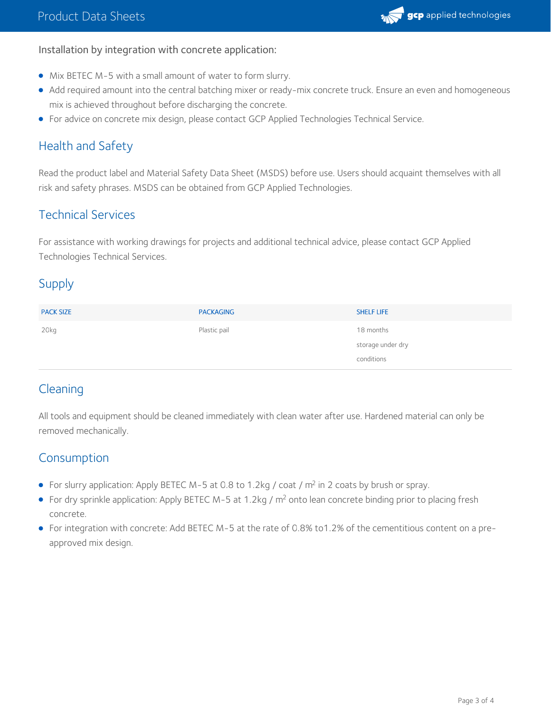#### Installation by integration with concrete application:

- Mix BETEC M-5 with a small amount of water to form slurry.
- Add required amount into the central batching mixer or ready-mix concrete truck. Ensure an even and homogeneous mix is achieved throughout before discharging the concrete.
- For advice on concrete mix design, please contact GCP Applied Technologies Technical Service.

## Health and Safety

Read the product label and Material Safety Data Sheet (MSDS) before use. Users should acquaint themselves with all risk and safety phrases. MSDS can be obtained from GCP Applied Technologies.

## Technical Services

For assistance with working drawings for projects and additional technical advice, please contact GCP Applied Technologies Technical Services.

## Supply

| <b>PACK SIZE</b> | <b>PACKAGING</b> | <b>SHELF LIFE</b> |
|------------------|------------------|-------------------|
| 20kg             | Plastic pail     | 18 months         |
|                  |                  | storage under dry |
|                  |                  | conditions        |

## **Cleaning**

All tools and equipment should be cleaned immediately with clean water after use. Hardened material can only be removed mechanically.

### Consumption

- For slurry application: Apply BETEC M-5 at 0.8 to 1.2kg / coat /  $m<sup>2</sup>$  in 2 coats by brush or spray.
- For dry sprinkle application: Apply BETEC M-5 at 1.2kg / m<sup>2</sup> onto lean concrete binding prior to placing fresh concrete.
- For integration with concrete: Add BETEC M-5 at the rate of 0.8% to1.2% of the cementitious content on a preapproved mix design.